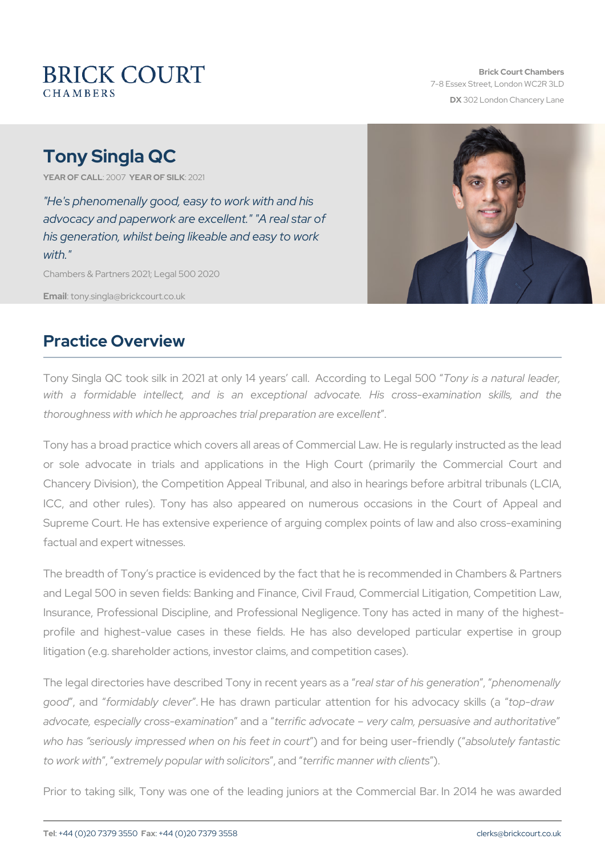# Tony Singla QC

YEAR OF CALLONYEAR OF SILOK 21

"He's phenomenally good, easy to work with and his advocacy and paperwork are excellent." "A real star of his generation, whilst being likeable and easy to work with."

Chambers & Partners 2021; Legal 500 2020

Emaitony.singla@brickcourt.co.uk

#### Practice Overview

Tony Singla QC took silk in 2021 at only 14 yeaTsonycall. a Ancadurding with a formidable intellect, and is an exceptional advocate. thoroughness with which he approaches trial preparation are excellent .

Tony has a broad practice which covers all areas of Commercial Law. or sole advocate in trials and applications in the High Court Chancery Division), the Competition Appeal Tribunal, and also in hear ICC, and other rules). Tony has also appeared on numerous occ Supreme Court. He has extensive experience of arguing complex poin factual and expert witnesses.

The breadth of Tony s practice is evidenced by the fact that he is red and Legal 500 in seven fields: Banking and Finance, Civil Fraud, Con Insurance, Professional Discipline, and Professional Negligence. To profile and highest-value cases in these fields. He has also de litigation (e.g. shareholder actions, investor claims, and competition of

The legal directories have described Tomealistane coefnhis egne in earm a tainen ally good, anfolrmidably clever has drawn particular attention for p-holinsawadvo advocate, especially crosaned teaminiactian divocate very calm, persuasive who has seriously impressed when aond hift instributed in the finance of fantastic head of an tastic userto work weith temely popular with solicitors anner with clients

Prior to taking silk, Tony was one of the leading juniors at the Co.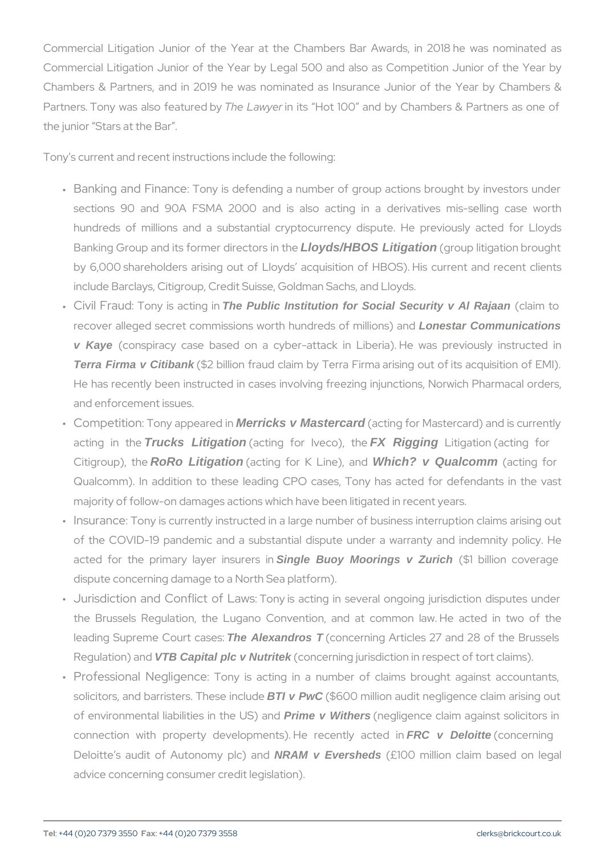Commercial Litigation Junior of the Year at the Chambers Bar Aw Commercial Litigation Junior of the Year by Legal 500 and also as Chambers & Partners, and in 2019 he was nominated as Insurance Partners. Tony was alsTohefela to winneed rt by Hot 100 and by Chambers & P the junior Stars at the Bar .

Tony s current and recent instructions include the following:

- " Banking and :Filmo any cless defending a number of group actions bro sections 90 and 90A FSMA 2000 and is also acting in a derivative hundreds of millions and a substantial cryptocurrency dispute Banking Group and its forme dioxodis/HEGOS distigation he (group litigation brought) by 6,000 shareholders arising out of Lloyds acquisition of HBC include Barclays, Citigroup, Credit Suisse, Goldman Sachs, and Ll
- " Civil F:raTuochy is aTote iPhughlici Innstitution for Social Security v Al Rajaan (claim to recover alleged secret commissions worth Lonestar Communications ions) v Kaye (conspiracy case based on a cyber-attack in Liberia). H Terra Firma v Citibank (\$2 billion fraud claim by Terra Firma arising out He has recently been instructed in cases involving freezing injur and enforcement issues.
- " Competitiōony appeMeneicksin Mastercard (acting for Mastercard) and i acting in Truck be Litigation (acting for IVF& cratigation for facting for  $\overline{a}$ Citigroup), RoRtch Leitigation (acting for K Whinche?, v Qualcomm (acting for Qualcomm). In addition to these leading CPO cases, Tony has majority of follow-on damages actions which have been litigated in
- " Insuran  $\overline{\sigma}$  eny is currently instructed in a large number of business of the COVID-19 pandemic and a substantial dispute under a w acted for the primary ISsingleer Buoy sMooeings vi Zurich (\$1 billion cover dispute concerning damage to a North Sea platform).
- " Jurisdiction and Con:fl**To**hyoifs Laacwishg in several ongoing jurisdi the Brussels Regulation, the Lugano Convention, and at common leading Supreme CThe Alexandros T. (concerning Articles 27 and 28 of Regulation VTB a Capital plc v Nutritek (concerning jurisdiction in respect of
- " Professional NegTiogneyncie acting in a number of claims broug solicitors, and barrister BTI v T Phwe  $S$  of  $\$i$  on  $C$  and it negligence claim and it negligence claim and are it and arrister  $B$  T Phwe  $S$  of  $\$i$  of  $C$  on  $A$ of environmental liabilitie Perimienv Whithers J S(negnidgence claim against so connection with property developments $R$ CH ve Deloitte en to loyn cached in the concerning in  $\epsilon$ Deloitte s audit of AutoNRAM w Epensheds not £100 million claim base advice concerning consumer credit legislation).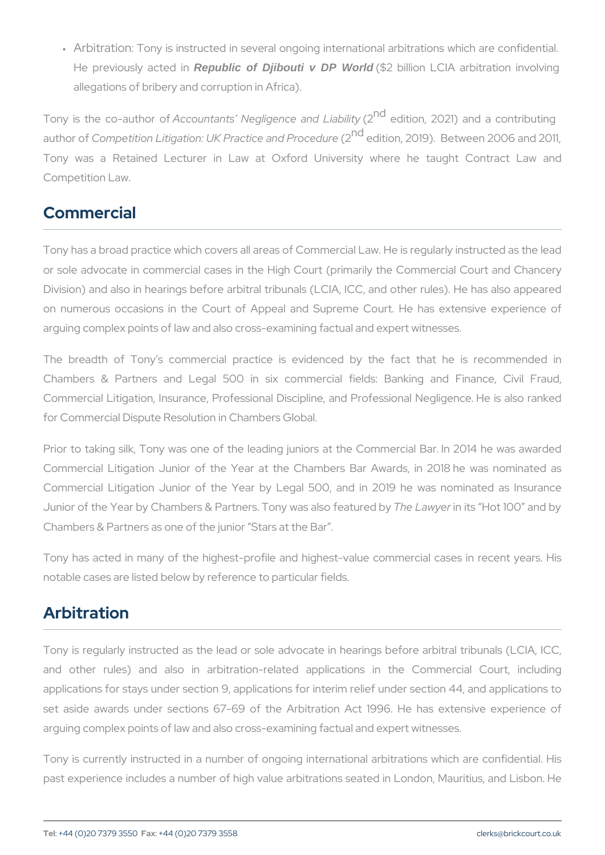" Arbitratiōony is instructed in several ongoing international arbit He previously Raepuble in Coligit in DP World (\$2 billion LCIA arbitration allegations of bribery and corruption in Africa).

Tony is the co- $A$ uthountants Negligence  $2d$  reddition, 2021) and a contribution, 2021, 2021 author Coofm petition Litigation: UK Pract $\alpha$ <sup>d</sup>ee **aint do Pro**2c0e1d9u) re Between 200 Tony was a Retained Lecturer in Law at Oxford University w Competition Law.

# Commercial

Tony has a broad practice which covers all areas of Commercial Law. or sole advocate in commercial cases in the High Court (primarily t Division) and also in hearings before arbitral tribunals (LCIA, ICC, and  $\alpha$ on numerous occasions in the Court of Appeal and Supreme Cour arguing complex points of law and also cross-examining factual and experience

The breadth of Tony s commercial practice is evidenced by th Chambers & Partners and Legal 500 in six commercial fields: Commercial Litigation, Insurance, Professional Discipline, and Profe for Commercial Dispute Resolution in Chambers Global.

Prior to taking silk, Tony was one of the leading juniors at the Co Commercial Litigation Junior of the Year at the Chambers Bar Aw Commercial Litigation Junior of the Year by Legal 500, and in 20 Junior of the Year by Chambers & Partners. The enk awique inters of the at 0 0 e dab Chambers & Partners as one of the junior Stars at the Bar .

Tony has acted in many of the highest-profile and highest-value co notable cases are listed below by reference to particular fields.

## Arbitration

Tony is regularly instructed as the lead or sole advocate in hearing and other rules) and also in arbitration-related applications applications for stays under section 9, applications for interim relief set aside awards under sections 67-69 of the Arbitration Act 199 arguing complex points of law and also cross-examining factual and experience

Tony is currently instructed in a number of ongoing international are past experience includes a number of high value arbitrations seated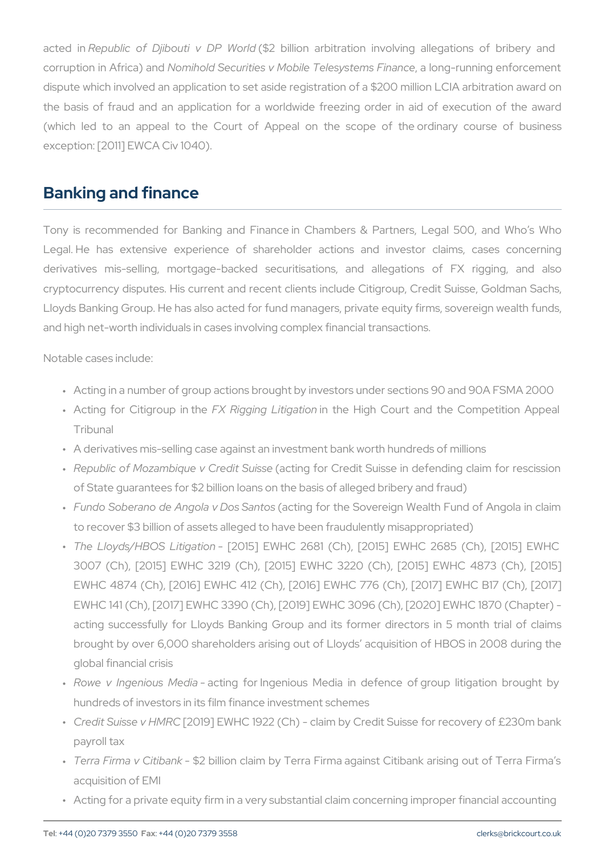acted Republic of Djibouti (\$2 Db Pillion Diarbitration involving allegation corruption in AfNiccra) handd Securities v Mobile Telesystemus in Finnance enforc dispute which involved an application to set aside registration of a  $$$ the basis of fraud and an application for a worldwide freezing or (which led to an appeal to the Court of Appeal on the scope exception: [2011] EWCA Civ 1040).

#### Banking and finance

Tony is recommended for Banking and Finance in Chambers & Part Legal. He has extensive experience of shareholder actions and derivatives mis-selling, mortgage-backed securitisations, and a cryptocurrency disputes. His current and recent clients include Citig Lloyds Banking Group. He has also acted for fund managers, private  $\epsilon$ and high net-worth individuals in cases involving complex financial trans

- " Acting in a number of group actions brought by investors under se
- " Acting for CitigroFu), Rhigtohieng Lintiglabeio.hligh Court and the Compe Tribunal
- " A derivatives mis-selling case against an investment bank worth h
- " Republic of Mozambique (aCtendgitfSuiGsedit Suisse in defending c of State guarantees for \$2 billion loans on the basis of alleged br
- " Fundo Soberano de Angola a ctDmogs f $\mathfrak s$ anthos Sovereign Wealth Fund o to recover \$3 billion of assets alleged to have been fraudulently m
- " The Lloyds/HBOS -Li $[20a15]$   $\phi$ n EWHC 2681 (Ch),  $[2015]$  EWHC 268 3007 (Ch), [2015] EWHC 3219 (Ch), [2015] EWHC 3220 (Ch), [2015] EWHC 4873 (Ch), [2015] EWHC 4874 (Ch), [2016] EWHC 412 (Ch), [2016] EWHC 776 (Ch) EWHC 141 (Ch), [2017] EWHC 3390 (Ch), [2019] EWHC 3096 (Ch), acting successfully for Lloyds Banking Group and its former directors in 5 month trial of claims in 5 and tria brought by over 6,000 shareholders arising out of Lloyds acquis global financial crisis
- " Rowe v IngeniousacMinendiafor Ingenious Media in defence of grou hundreds of investors in its film finance investment schemes
- " Credit Suisse [20HIM9 R E W H C 1922 (Ch) claim by Credit Suisse for payroll tax
- " Terra Firma v -C \$t2bb hilkion claim by Terra Firma against Citibank a acquisition of EMI
- " Acting for a private equity firm in a very substantial claim concerr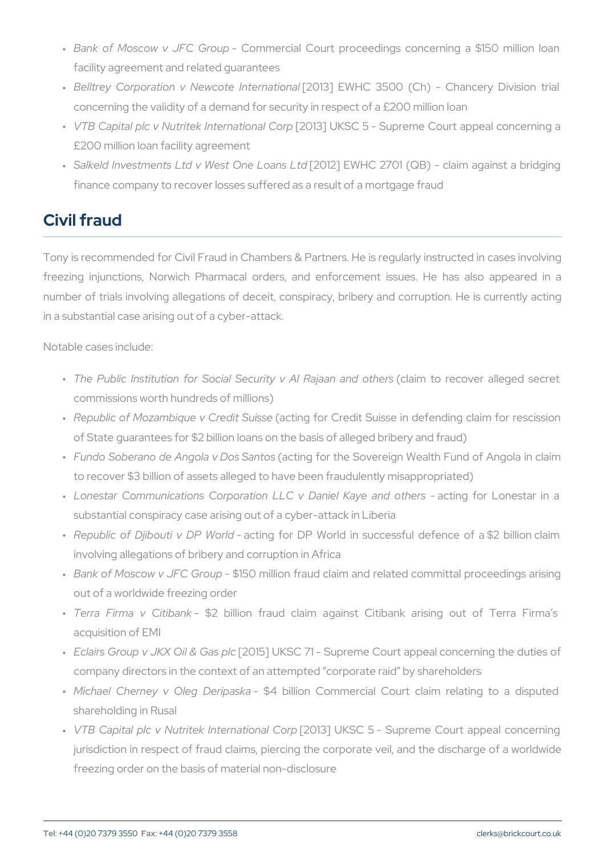- " Bank of Moscow v JF $\mathbb C$ on $\mathbb G$ meurpial Court proceedings concerning facility agreement and related guarantees
- " Belltrey Corporation v New o[QtOe131]nt**E Whle Cio 6500** (Ch) Chancery concerning the validity of a demand for security in respect of a £2
- " VTB Capital plc v Nutritek I[n2t@t8}atiUcKnSaC Go-rpSupreme Court appeal £200 million loan facility agreement
- " Salkeld Investments Ltd v We[s2t0 O2n]e ELWolbolnCs 2L7t0d1 (QB) claim aga finance company to recover losses suffered as a result of a mortga

# Civil fraud

Tony is recommended for Civil Fraud in Chambers & Partners. He is r freezing injunctions, Norwich Pharmacal orders, and enforcement number of trials involving allegations of deceit, conspiracy, bribery in a substantial case arising out of a cyber-attack.

- " The Public Institution for Social Secur(tcylaivm Allo Rraejeaonweranadleogle. commissions worth hundreds of millions)
- " Republic of Mozambique (aCtiendgitfSuiGsedit Suisse in defending c of State guarantees for \$2 billion loans on the basis of alleged br
- " Fundo Soberano de Angola a ctDmogs f $\mathfrak s$ anthos Sovereign Wealth Fund o to recover \$3 billion of assets alleged to have been fraudulently m
- " Lonestar Communications Corporation LLC vacDianngieforKalyoeneasntonlro substantial conspiracy case arising out of a cyber-attack in Liberi
- " Republic of Djibouti-vacDiPhgWfoorndDP World in successful defence involving allegations of bribery and corruption in Africa
- " Bank of Moscow v JF\$C15G0romuiplion fraud claim and related committ out of a worldwide freezing order
- " Terra Firma v C\$ tbabnik lion fraud claim against Citibank aris acquisition of EMI
- " Eclairs Group v JKX [2016] GUaKS plc71 Supreme Court appeal conc company directors in the context of an attempted corporate raid
- " Michael Cherney v Oleg\$4Debriilplacsnka Commercial Court claim rel shareholding in Rusal
- " VTB Capital plc v Nutritek [@t0e1r3n]atiUoKnSaO: Go-rpSupreme Court app jurisdiction in respect of fraud claims, piercing the corporate vei freezing order on the basis of material non-disclosure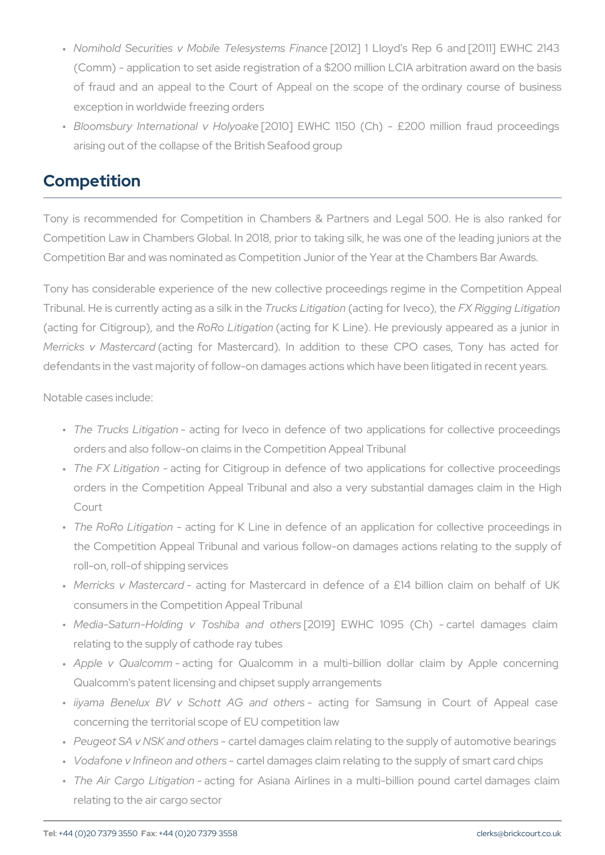- " Nomihold Securities v Mobile T $[20$ **@** \$ $\frac{1}{2}$  ] tedmislo Fyion as a cReep 6 and [2011]  $\frac{1}{2}$ (Comm) - application to set aside registration of a \$200 million  $L$ of fraud and an appeal to the Court of Appeal on the scope o exception in worldwide freezing orders
- " Bloomsbury Internationą́ 20v10 Ho EyWobl にe 1150 (Ch) £200 million arising out of the collapse of the British Seafood group

## Competition

Tony is recommended for Competition in Chambers & Partners and Competition Law in Chambers Global. In 2018, prior to taking silk, he Competition Bar and was nominated as Competition Junior of the Year

Tony has considerable experience of the new collective proceedings Tribunal. He is currently actimuc less Laits of halom of hear Ive & o Rigging Litigat (acting for CitigrouRoo), RoanLditigation and for K Line). He previously appeared as a propeared as  $\alpha$  in  $q$ Merricks v Ma(satetrionagrdfor Mastercard). In addition to these CPO defendants in the vast majority of follow-on damages actions which ha

- " The Trucks Litigation for Iveco in defence of two applications f orders and also follow-on claims in the Competition Appeal Tribun
- " The FX Litigacttiion og for Citigroup in defence of two applications f orders in the Competition Appeal Tribunal and also a very subs Court
- " The RoRo Litiagrattiinogn for K Line in defence of an application for the Competition Appeal Tribunal and various follow-on damages roll-on, roll-of shipping services
- " Merricks v Mastardand for Mastercard in defence of a £14 billi consumers in the Competition Appeal Tribunal
- " Media-Saturn-Holding v Tosh2ib&i9]anEdWhoCheffs095 (Ch) cartel relating to the supply of cathode ray tubes
- " Apple v Qua-Icaocmtiming for Qualcomm in a multi-billion dollar c Qualcomm's patent licensing and chipset supply arrangements
- "iiyama Benelux BV v Schott aAcGlingnoforothSeamssung in Court c concerning the territorial scope of EU competition law
- " Peugeot SA v NSK and to the damages claim relating to the supply of
- " Vodafone v Infineon-anad rtoethelasmages claim relating to the supply of
- " The Air Cargo Laicitgrangiofnor-Asiana Airlines in a multi-billion pou relating to the air cargo sector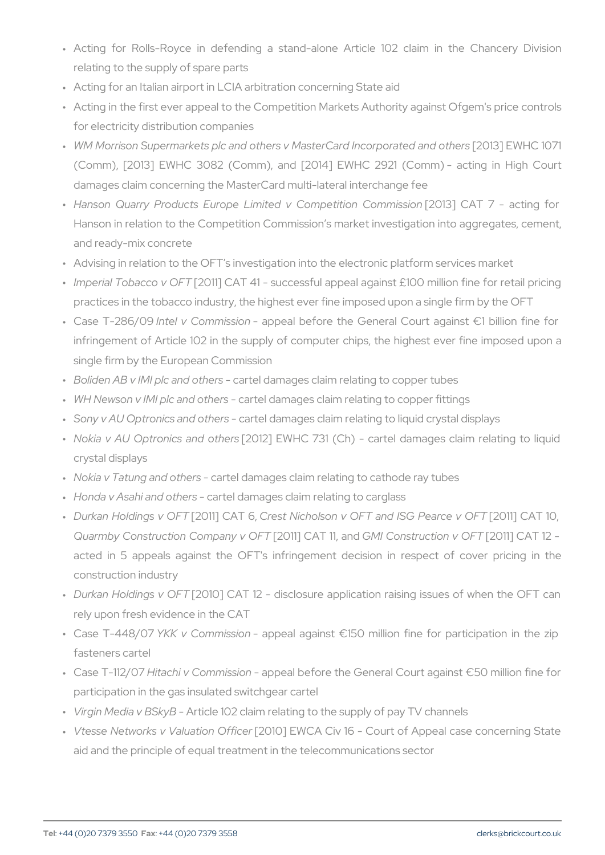- " Acting for Rolls-Royce in defending a stand-alone Article 10 relating to the supply of spare parts
- " Acting for an Italian airport in LCIA arbitration concerning State a
- " Acting in the first ever appeal to the Competition Markets Authori for electricity distribution companies
- " W M Morrison Supermarkets plc and others v Maste[2001:13c] EnWoHrOpo1rQai  $(Comm)$ ,  $[2013]$  EWHC 3082  $(Comm)$ , and  $[2014]$  EWHC 2921 ( damages claim concerning the MasterCard multi-lateral interchang
- " Hanson Quarry Products Europe Limited V[2 Cl 13] peCtAtTon7 Gomentis Hanson in relation to the Competition Commission s market invest and ready-mix concrete
- " Advising in relation to the OFT s investigation into the electronic
- " Imperial Tobacc [c2 0v1 O] F  $\mathbb C$  A T 41 successful appeal against £100 m practices in the tobacco industry, the highest ever fine imposed up
- " Case T-28 bn/De9 v Commisspiponal before the General Court agains infringement of Article 102 in the supply of computer chips, the single firm by the European Commission
- " Boliden AB v IMI ple aad telt deamsages claim relating to copper tubes
- " WH Newson v IMI plc acnadielthers ages claim relating to copper fitting
- " Sony y AU Optronics-aged to the damages claim relating to liquid cryst
- " Nokia v AU Optronics[20110] o ENNehls 731 (Ch) cartel damages cl crystal displays
- " Nokia v Tatung and aortthed relamages claim relating to cathode ray tub
- " Honda v Asahi and agther than ages claim relating to carglass
- " Durkan Holding[\$20v11] FOT LAT fesst, Nicholson v OF T and IS2G01 P1 of a CoAeT v10, C Quarmby Construction Comppany CANT FIGMI, and struction to FOTAT 12 acted in 5 appeals against the OFT's infringement decision in construction industry
- " Durkan Holding \$2 0 1 O JF C A T 12 disclosure application raising iss rely upon fresh evidence in the CAT
- " Case T-44 & KOK v Comm-is appeal against ¬150 million fine for pa fasteners cartel
- Case T-112/07 Hitachi v Commission appeal before the General Court against ¬50 million fine for " participation in the gas insulated switchgear cartel
- " Virgin Media v BAStkiy Be 102 claim relating to the supply of pay TV c
- " Vtesse Networks v Valų́ 2000) Œf MCAr Civ 16 Court of Appeal cas aid and the principle of equal treatment in the telecommunications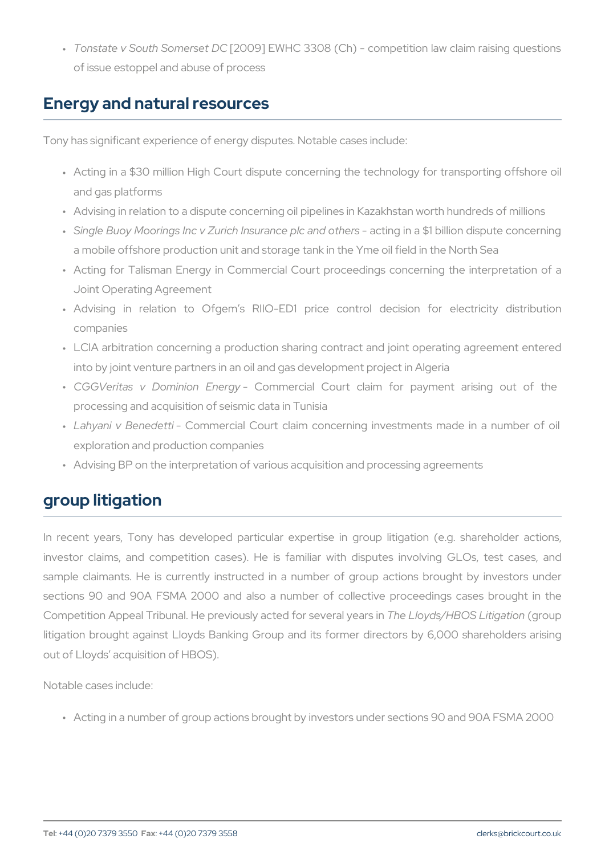" Tonstate v South So[m2@099d]tEDNCHC 3308 (Ch) - competition law clai of issue estoppel and abuse of process

#### Energy and natural resources

Tony has significant experience of energy disputes. Notable cases inc

- " Acting in a \$30 million High Court dispute concerning the techno and gas platforms
- " Advising in relation to a dispute concerning oil pipelines in Kazak
- " Single Buoy Moorings Inc v Zurich Ins**aca**imogei**plo a**find boit hiens disput a mobile offshore production unit and storage tank in the Yme oil
- " Acting for Talisman Energy in Commercial Court proceedings co Joint Operating Agreement
- " Advising in relation to Ofgem s RIIO-ED1 price control companies
- " LCIA arbitration concerning a production sharing contract and jo into by joint venture partners in an oil and gas development projed
- "CGGVeritas v Domin-ionComEmeerrgcyial Court claim for payment processing and acquisition of seismic data in Tunisia
- " Lahyani v BeneColoentmiercial Court claim concerning investments m exploration and production companies
- " Advising BP on the interpretation of various acquisition and proce

# group litigation

In recent years, Tony has developed particular expertise in grou investor claims, and competition cases). He is familiar with disp sample claimants. He is currently instructed in a number of group sections 90 and 90A FSMA 2000 and also a number of collective Competition Appeal Tribunal. He previously The teld of yod rs /sHe BY @ IS all Leiwit in The Leion of The Liti litigation brought against Lloyds Banking Group and its former dire out of Lloyds acquisition of HBOS).

Notable cases include:

" Acting in a number of group actions brought by investors under se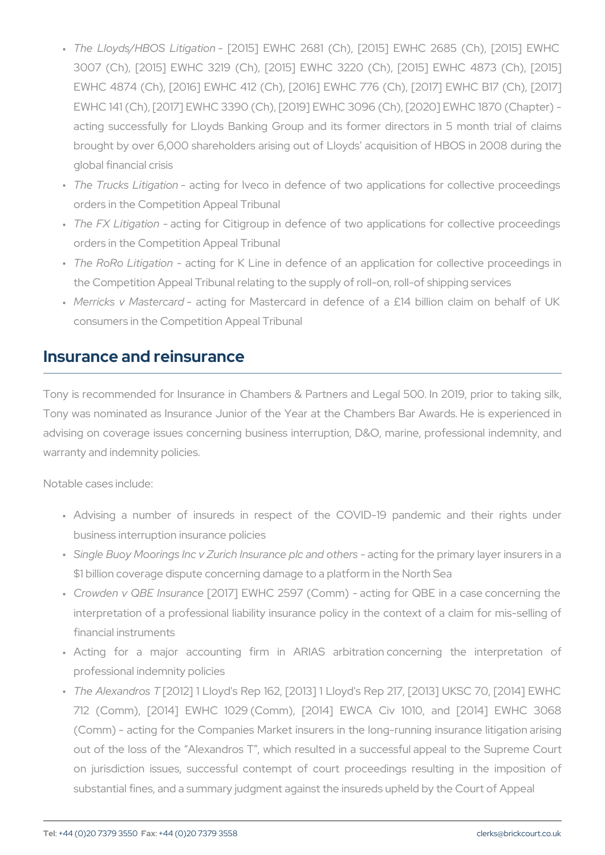- " The Lloyds/HBOS -Li $[20a15]$  phe WHC 2681 (Ch),  $[2015]$  EWHC 268 3007 (Ch), [2015] EWHC 3219 (Ch), [2015] EWHC 3220 (Ch), [2015] EWHC 4873 (Ch), [2015] EWHC 4874 (Ch), [2016] EWHC 412 (Ch), [2016] EWHC 776 (Ch) EWHC 141 (Ch), [2017] EWHC 3390 (Ch), [2019] EWHC 3096 (Ch), acting successfully for Lloyds Banking Group and its former di brought by over 6,000 shareholders arising out of Lloyds acquis global financial crisis
- " The Trucks Litigation for Iveco in defence of two applications f orders in the Competition Appeal Tribunal
- " The FX Litiga acttiion og for Citigroup in defence of two applications f orders in the Competition Appeal Tribunal
- " The RoRo Litiagrattiinogn for K Line in defence of an application for the Competition Appeal Tribunal relating to the supply of roll-on,
- " Merricks v Mastardand for Mastercard in defence of a £14 billi consumers in the Competition Appeal Tribunal

### Insurance and reinsurance

Tony is recommended for Insurance in Chambers & Partners and Leg Tony was nominated as Insurance Junior of the Year at the Chamber advising on coverage issues concerning business interruption, D&O, warranty and indemnity policies.

- " Advising a number of insureds in respect of the COVID-19 business interruption insurance policies
- " Single Buoy Moorings Inc v Zurich In**satiangcéopithenpotiont a ey slayer i**n \$1 billion coverage dispute concerning damage to a platform in the
- " Crowden v QBE [@ \$0173] n E & HC 2597 a (colomngmin) or QBE in a case conc interpretation of a professional liability insurance policy in the financial instruments
- " Acting for a major accounting firm in ARIAS arbitration professional indemnity policies
- " The Alexand (200s1 2T] 1 Lloyd's Rep 162, [2013] 1 Lloyd's Rep 217, 712 (Comm), [2014] EWHC 1029 (Comm), [2014] EWCA Civ (Comm) - acting for the Companies Market insurers in the long-running insurance litigation arising the litigation arising the litigation arising insurance litigation arising the litigation arising the litigation arising th out of the loss of the Alexandros T, which resulted in a succe on jurisdiction issues, successful contempt of court proceeding substantial fines, and a summary judgment against the insureds up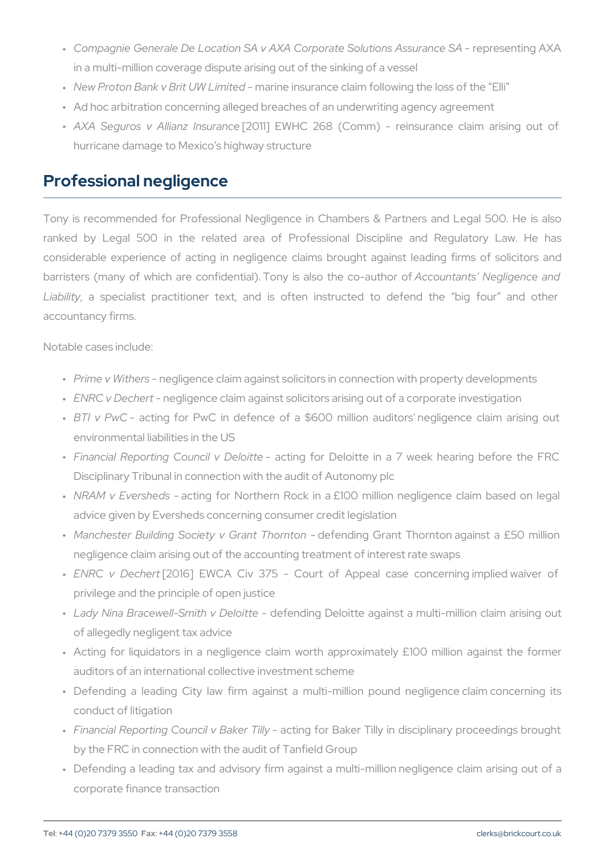" Compagnie Generale De Location SA v AXA Corporate pr&selunttionngs AA in a multi-million coverage dispute arising out of the sinking of a " New Proton Bank v Brit bhW rilnien iinesdurance claim following the loss " Ad hoc arbitration concerning alleged breaches of an underwriting " A X A Seguros v Allia [n2z01 l1n] suErWh. Ho Ce 268 (Comm) - reinsurance o hurricane damage to Mexico s highway structure

### Professional negligence

Tony is recommended for Professional Negligence in Chambers & F ranked by Legal 500 in the related area of Professional Disc considerable experience of acting in negligence claims brought ag barristers (many of which are confidential). Theory uinstaanits so thineglogened Liability specialist practitioner text, and is often instructed to accountancy firms.

- " Prime v Withergsligence claim against solicitors in connection with
- " ENRC v Dechegtligence claim against solicitors arising out of a co
- " B TI v Pw & cting for Pw C in defence of a \$600 million auditors environmental liabilities in the US
- " Financial Reporting Councaictiong Defocrit Deeloitte in a 7 week heari Disciplinary Tribunal in connection with the audit of Autonomy plc
- " NRAM v Ever**sbeiols** for Northern Rock in a £100 million neglige advice given by Eversheds concerning consumer credit legislation
- " Manchester Building Society wde Geradtng hGormanotn Thornton against a negligence claim arising out of the accounting treatment of interest
- " ENRC v D[e2c0h1e6t] EWCA Civ 375 Court of Appeal case con privilege and the principle of open justice
- " Lady Nina Bracewell-Smid**e** fevnoDion Dioteloitte against a multi-million of allegedly negligent tax advice
- " Acting for liquidators in a negligence claim worth approximatel auditors of an international collective investment scheme
- " Defending a leading City law firm against a multi-million pou conduct of litigation
- " Financial Reporting Counciac timBgakfoor Tbialkyer Tilly in disciplinary p by the FRC in connection with the audit of Tanfield Group
- " Defending a leading tax and advisory firm against a multi-millio corporate finance transaction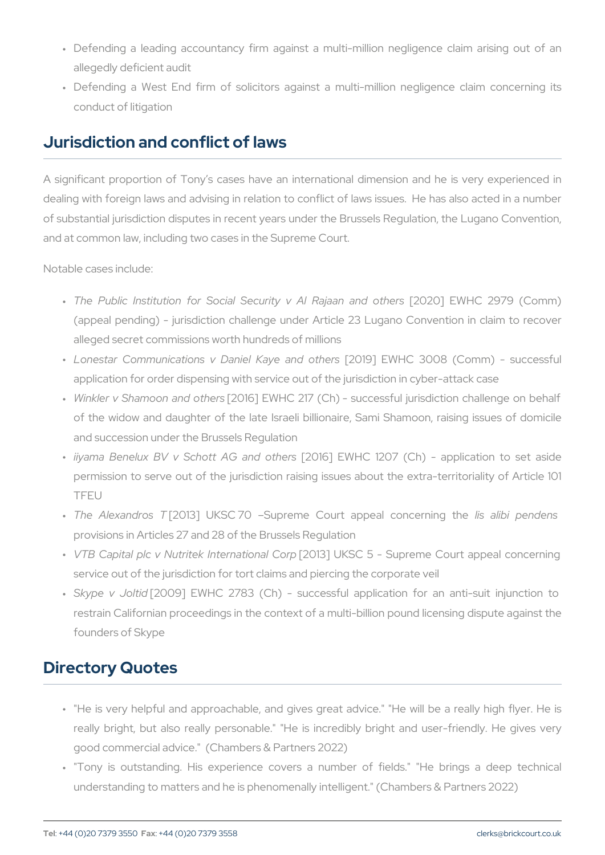- " Defending a leading accountancy firm against a multi-million n allegedly deficient audit
- " Defending a West End firm of solicitors against a multi-millio conduct of litigation

#### Jurisdiction and conflict of laws

A significant proportion of Tony s cases have an international dime dealing with foreign laws and advising in relation to conflict of laws of substantial jurisdiction disputes in recent years under the Brussel and at common law, including two cases in the Supreme Court.

Notable cases include:

- " The Public Institution for Social Secur[2y020] AEE WRHaCJa a2n978 nd(Com (appeal pending) - jurisdiction challenge under Article 23 Lugan alleged secret commissions worth hundreds of millions
- " Lonestar Communications v Dani[e2l01K9a]yeEWahnio8 of OrhOe8rs(Comm) application for order dispensing with service out of the jurisdictio
- " Winkler v Shamoon [2016] EN HC 217 (Ch) successful jurisdiction challenge on behalf on behalf with  $\sim$ of the widow and daughter of the late Israeli billionaire, Sami and succession under the Brussels Regulation
- "iiyama Benelux BV v Schot[20A6] aEnWHC th& 2:97 (Ch) application to set aside and to set as in to set as in permission to serve out of the jurisdiction raising issues about TFEU
- " The Alexan [12:10 \$3] TUKSC 70 Supreme Court apipse a alibon penemorient provisions in Articles 27 and 28 of the Brussels Regulation
- " VTB Capital plc v Nutritek [20e1r3n]atWoKnSaC Gorp Supreme Court app service out of the jurisdiction for tort claims and piercing the corp
- " Skype v  $[10000]$  EWHC 2783 (Ch) successful application for restrain Californian proceedings in the context of a multi-billion p founders of Skype

### Directory Quotes

- " "He is very helpful and approachable, and gives great advice." really bright, but also really personable." "He is incredibly bri good commercial advice." (Chambers & Partners 2022)
- " "Tony is outstanding. His experience covers a number of fie understanding to matters and he is phenomenally intelligent." (Cha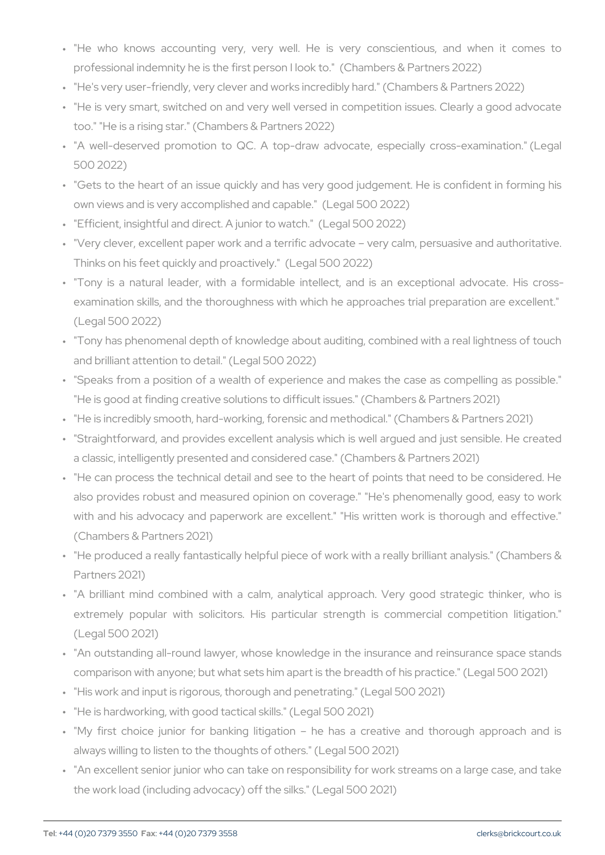" "He who knows accounting very, very well. He is very con professional indemnity he is the first person I look to." (Chamber " "He's very user-friendly, very clever and works incredibly hard." (

- " "He is very smart, switched on and very well versed in competition too." "He is a rising star." (Chambers & Partners 2022)
- " "A well-deserved promotion to QC. A top-draw advocate, espert 500 2022)
- " "Gets to the heart of an issue quickly and has very good judgem own views and is very accomplished and capable." (Legal 500 202
- " "Efficient, insightful and direct. A junior to watch." (Legal 500 2022) " "Very clever, excellent paper work and a terrific advocate very o Thinks on his feet quickly and proactively." (Legal 500 2022)
- " "Tony is a natural leader, with a formidable intellect, and is examination skills, and the thoroughness with which he approach (Legal 500 2022)
- " "Tony has phenomenal depth of knowledge about auditing, combine and brilliant attention to detail." (Legal 500 2022)
- " "Speaks from a position of a wealth of experience and makes the "He is good at finding creative solutions to difficult issues." (Char
- " "He is incredibly smooth, hard-working, forensic and methodical."
- " "Straightforward, and provides excellent analysis which is well a a classic, intelligently presented and considered case." (Chambers
- " "He can process the technical detail and see to the heart of poin also provides robust and measured opinion on coverage." "He's with and his advocacy and paperwork are excellent." "His writte (Chambers & Partners 2021)
- " "He produced a really fantastically helpful piece of work with a re Partners 2021)
- " "A brilliant mind combined with a calm, analytical approach. \ extremely popular with solicitors. His particular strength is (Legal 500 2021)
- " "An outstanding all-round lawyer, whose knowledge in the insuran comparison with anyone; but what sets him apart is the breadth of
- " "His work and input is rigorous, thorough and penetrating." (Legal
- " "He is hardworking, with good tactical skills." (Legal 500 2021)
- " "My first choice junior for banking litigation he has a crea always willing to listen to the thoughts of others." (Legal 500 2021) " "An excellent senior junior who can take on responsibility for wor
- the work load (including advocacy) off the silks." (Legal 500 2021)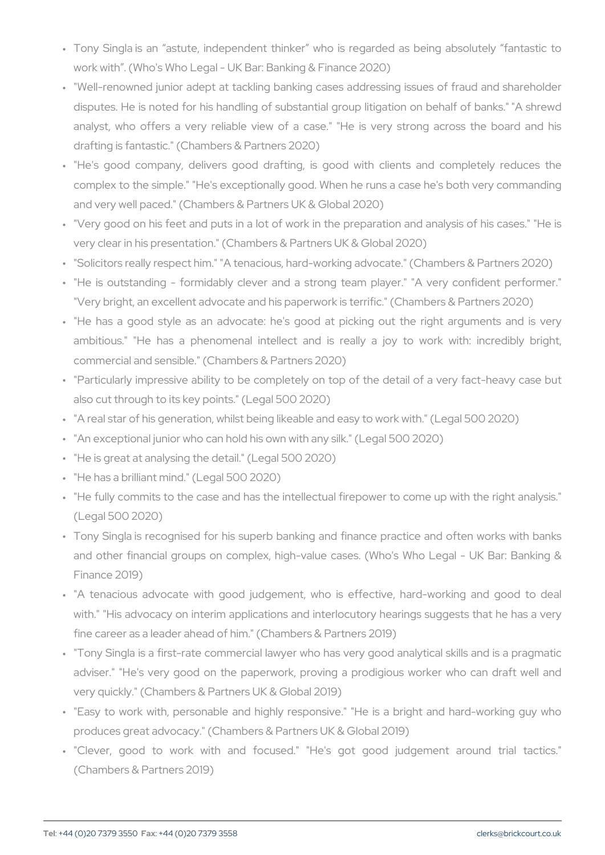- " Tony Singla is an astute, independent thinker who is regarde work with . (Who's Who Legal - UK Bar: Banking & Finance 2020)
- " "Well-renowned junior adept at tackling banking cases addressin disputes. He is noted for his handling of substantial group litigation on a share of banks. analyst, who offers a very reliable view of a case." "He is v drafting is fantastic." (Chambers & Partners 2020)
- " "He's good company, delivers good drafting, is good with cli complex to the simple." "He's exceptionally good. When he runs a and very well paced." (Chambers & Partners UK & Global 2020)
- " "Very good on his feet and puts in a lot of work in the preparati very clear in his presentation." (Chambers & Partners UK & Global " "Solicitors really respect him." "A tenacious, hard-working advoca " "He is outstanding - formidably clever and a strong team play
- "Very bright, an excellent advocate and his paperwork is terrific." " "He has a good style as an advocate: he's good at picking or ambitious." "He has a phenomenal intellect and is really a
- commercial and sensible." (Chambers & Partners 2020)
- " "Particularly impressive ability to be completely on top of the de also cut through to its key points." (Legal 500 2020)
- " "A real star of his generation, whilst being likeable and easy to we " "An exceptional junior who can hold his own with any silk." (Legal " "He is great at analysing the detail." (Legal 500 2020)
- " "He has a brilliant mind." (Legal 500 2020)
- " "He fully commits to the case and has the intellectual firepower t (Legal 500 2020)
- " Tony Singla is recognised for his superb banking and finance pr and other financial groups on complex, high-value cases. (Who' Finance 2019)
- " "A tenacious advocate with good judgement, who is effective, with." "His advocacy on interim applications and interlocutory he fine career as a leader ahead of him." (Chambers & Partners 2019)
- " "Tony Singla is a first-rate commercial lawyer who has very good adviser." "He's very good on the paperwork, proving a prodigio very quickly." (Chambers & Partners UK & Global 2019)
- " "Easy to work with, personable and highly responsive." "He is produces great advocacy." (Chambers & Partners UK & Global 2019)
- " "Clever, good to work with and focused." "He's got good (Chambers & Partners 2019)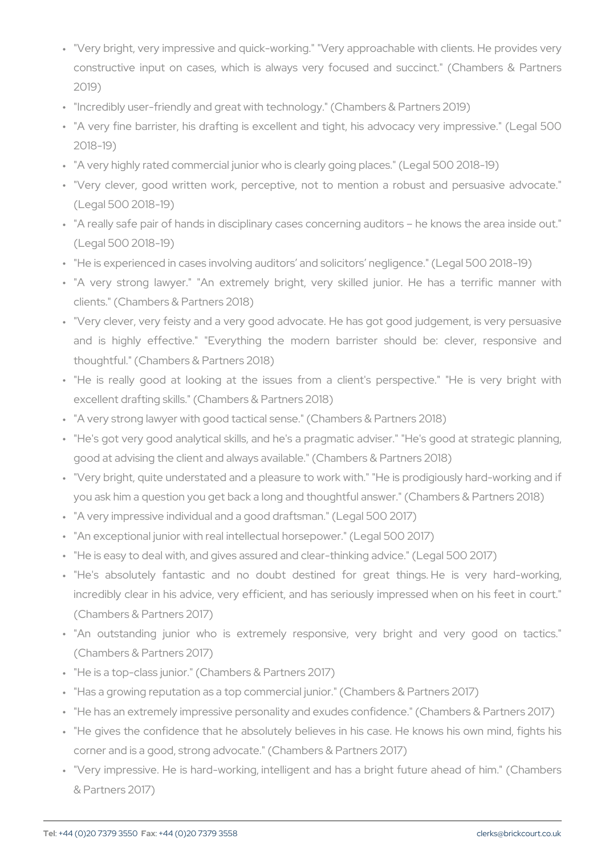- " "Very bright, very impressive and quick-working." "Very approacha constructive input on cases, which is always very focused and 2019)
- " "Incredibly user-friendly and great with technology." (Chambers &
- " "A very fine barrister, his drafting is excellent and tight, his ad 2018-19)
- " "A very highly rated commercial junior who is clearly going places
- " "Very clever, good written work, perceptive, not to mention a (Legal 500 2018-19)
- " "A really safe pair of hands in disciplinary cases concerning audi (Legal 500 2018-19)
- " "He is experienced in cases involving auditors and solicitors neg
- " "A very strong lawyer." "An extremely bright, very skilled ju clients." (Chambers & Partners 2018)
- " "Very clever, very feisty and a very good advocate. He has got go and is highly effective." "Everything the modern barrister thoughtful." (Chambers & Partners 2018)
- " "He is really good at looking at the issues from a client's p excellent drafting skills." (Chambers & Partners 2018)
- " "A very strong lawyer with good tactical sense." (Chambers & Part
- " "He's got very good analytical skills, and he's a pragmatic advise good at advising the client and always available." (Chambers & Pa " "Very bright, quite understated and a pleasure to work with." "He you ask him a question you get back a long and thoughtful answer " "A very impressive individual and a good draftsman." (Legal 500 2 " "An exceptional junior with real intellectual horsepower." (Legal 5 " "He is easy to deal with, and gives assured and clear-thinking adv " "He's absolutely fantastic and no doubt destined for great
- incredibly clear in his advice, very efficient, and has seriously i (Chambers & Partners 2017)
- " "An outstanding junior who is extremely responsive, very b (Chambers & Partners 2017)
- " "He is a top-class junior." (Chambers & Partners 2017)
- " "Has a growing reputation as a top commercial junior." (Chambers
- " "He has an extremely impressive personality and exudes confidenc
- " "He gives the confidence that he absolutely believes in his case corner and is a good, strong advocate." (Chambers & Partners 201
- " "Very impressive. He is hard-working, intelligent and has a brigh & Partners 2017)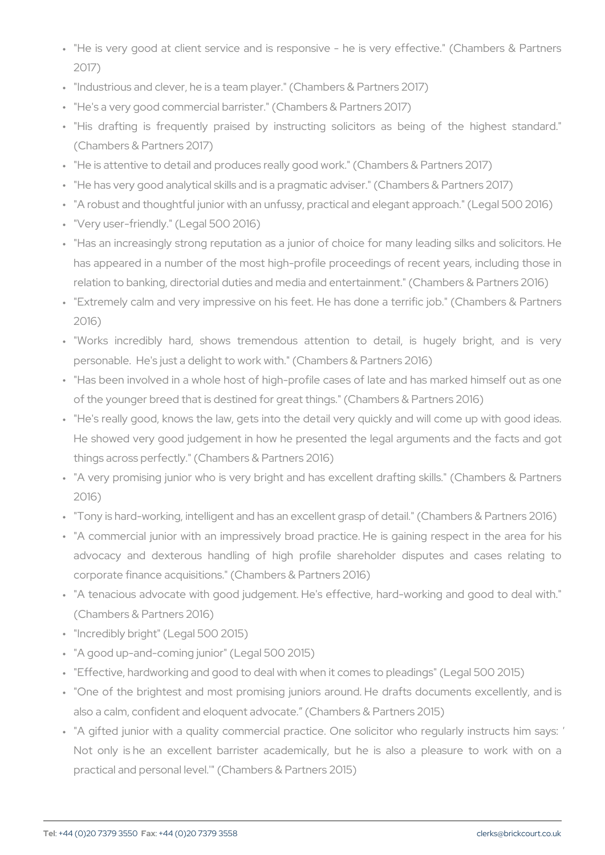" "He is very good at client service and is responsive - he is ve 2017)

" "Industrious and clever, he is a team player." (Chambers & Partne " "He's a very good commercial barrister." (Chambers & Partners 2017)

" "His drafting is frequently praised by instructing solicitors (Chambers & Partners 2017)

" "He is attentive to detail and produces really good work." (Chambe " "He has very good analytical skills and is a pragmatic adviser." (C " "A robust and thoughtful junior with an unfussy, practical and eleg " "Very user-friendly." (Legal 500 2016)

- " "Has an increasingly strong reputation as a junior of choice for  $\overline{\phantom{a}}$ has appeared in a number of the most high-profile proceedings of relation to banking, directorial duties and media and entertainmen
- " "Extremely calm and very impressive on his feet. He has done a 2016)
- " "Works incredibly hard, shows tremendous attention to deta personable. He's just a delight to work with." (Chambers & Partne
- " "Has been involved in a whole host of high-profile cases of late of the younger breed that is destined for great things." (Chambers
- " "He's really good, knows the law, gets into the detail very quickl He showed very good judgement in how he presented the legal a things across perfectly." (Chambers & Partners 2016)
- " "A very promising junior who is very bright and has excellent dra 2016)
- " "Tony is hard-working, intelligent and has an excellent grasp of de
- " "A commercial junior with an impressively broad practice. He is advocacy and dexterous handling of high profile shareholder corporate finance acquisitions." (Chambers & Partners 2016)
- " "A tenacious advocate with good judgement. He's effective, hard-(Chambers & Partners 2016)
- " "Incredibly bright" (Legal 500 2015)
- " "A good up-and-coming junior" (Legal 500 2015)
- " "Effective, hardworking and good to deal with when it comes to ple
- " "One of the brightest and most promising juniors around. He dra also a calm, confident and eloquent advocate. (Chambers & Partn
- " "A gifted junior with a quality commercial practice. One solicito Not only is he an excellent barrister academically, but he is practical and personal level.'" (Chambers & Partners 2015)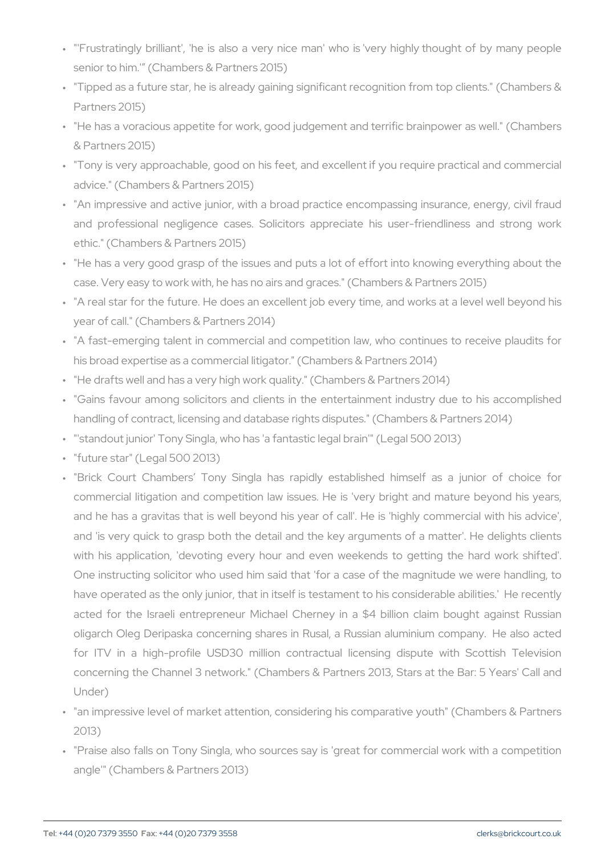- ""'Frustratingly brilliant', 'he is also a very nice man' who is 've senior to him.' (Chambers & Partners 2015)
- " "Tipped as a future star, he is already gaining significant recogni Partners 2015)
- " "He has a voracious appetite for work, good judgement and terrifi & Partners 2015)
- " "Tony is very approachable, good on his feet, and excellent if yo advice." (Chambers & Partners 2015)
- " "An impressive and active junior, with a broad practice encompas and professional negligence cases. Solicitors appreciate his ethic." (Chambers & Partners 2015)
- " "He has a very good grasp of the issues and puts a lot of effort case. Very easy to work with, he has no airs and graces." (Chambe " "A real star for the future. He does an excellent job every time, year of call." (Chambers & Partners 2014)
- " "A fast-emerging talent in commercial and competition law, who his broad expertise as a commercial litigator." (Chambers & Partne " "He drafts well and has a very high work quality." (Chambers & Pa " "Gains favour among solicitors and clients in the entertainment handling of contract, licensing and database rights disputes." (Chambers 2014) " "'standout junior' Tony Singla, who has 'a fantastic legal brain'" ( " "future star" (Legal 500 2013)
- " "Brick Court Chambers Tony Singla has rapidly established commercial litigation and competition law issues. He is 'very bi and he has a gravitas that is well beyond his year of call'. He and 'is very quick to grasp both the detail and the key argumen with his application, 'devoting every hour and even weekends One instructing solicitor who used him said that 'for a case of the magnitude we were magnitude we were  $\frac{1}{100}$ have operated as the only junior, that in itself is testament to his acted for the Israeli entrepreneur Michael Cherney in a \$4 bi oligarch Oleg Deripaska concerning shares in Rusal, a Russian for ITV in a high-profile USD30 million contractual licensing concerning the Channel 3 network." (Chambers & Partners 2013, Under)
- " "an impressive level of market attention, considering his compara 2013)
- " "Praise also falls on Tony Singla, who sources say is 'great for angle'" (Chambers & Partners 2013)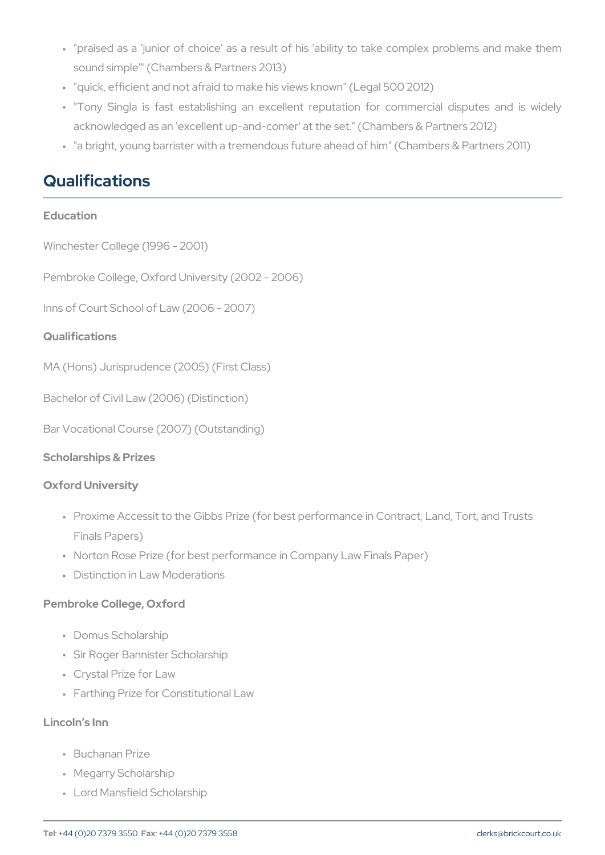- " "praised as a 'junior of choice' as a result of his 'ability to tak sound simple'" (Chambers & Partners 2013)
- " "quick, efficient and not afraid to make his views known" (Legal 50
- " "Tony Singla is fast establishing an excellent reputation for acknowledged as an 'excellent up-and-comer' at the set." (Chambe " "a bright, young barrister with a tremendous future ahead of him"

### Qualifications

| Education                                                                                                                                                                                       |
|-------------------------------------------------------------------------------------------------------------------------------------------------------------------------------------------------|
| Winchester College (1996 - 2001)                                                                                                                                                                |
| Pembroke College, Oxford University (2002 - 2006)                                                                                                                                               |
| Inns of Court School of Law (2006 - 2007)                                                                                                                                                       |
| Qualifications                                                                                                                                                                                  |
| MA (Hons) Jurisprudence (2005) (First Class)                                                                                                                                                    |
| Bachelor of Civil Law (2006) (Distinction)                                                                                                                                                      |
| Bar Vocational Course (2007) (Outstanding)                                                                                                                                                      |
| Scholarships & Prizes                                                                                                                                                                           |
| Oxford University                                                                                                                                                                               |
| " Proxime Accessit to the Gibbs Prize (for best performance in Cont<br>Finals Papers)<br>" Norton Rose Prize (for best performance in Company Law Finals Pa<br>" Distinction in Law Moderations |
| Pembroke College, Oxford                                                                                                                                                                        |
| " Domus Scholarship<br>" Sir Roger Bannister Scholarship                                                                                                                                        |

- " Crystal Prize for Law
- " Farthing Prize for Constitutional Law

Lincoln s Inn

- " Buchanan Prize
- " Megarry Scholarship
- " Lord Mansfield Scholarship